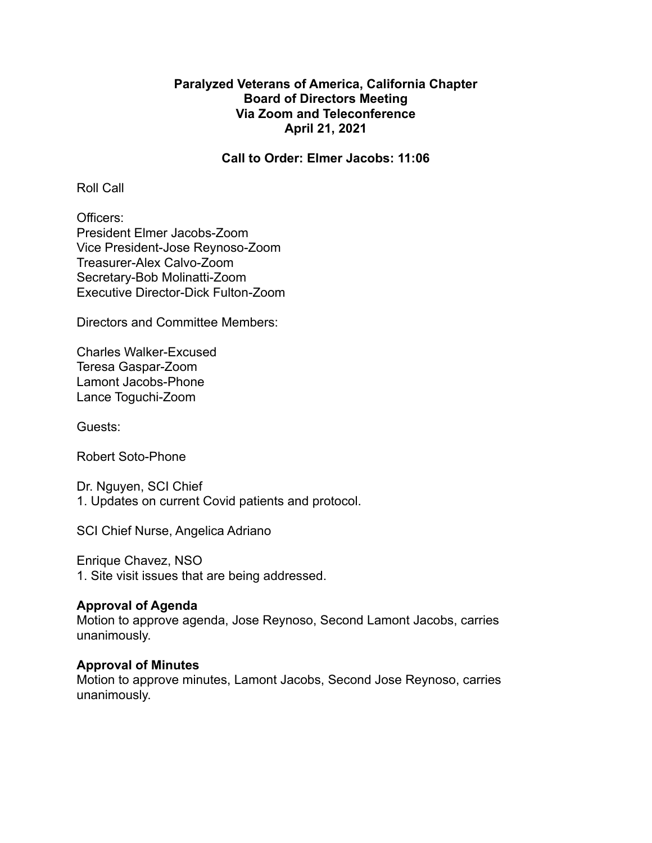# **Paralyzed Veterans of America, California Chapter Board of Directors Meeting Via Zoom and Teleconference April 21, 2021**

**Call to Order: Elmer Jacobs: 11:06**

Roll Call

Officers: President Elmer Jacobs-Zoom Vice President-Jose Reynoso-Zoom Treasurer-Alex Calvo-Zoom Secretary-Bob Molinatti-Zoom Executive Director-Dick Fulton-Zoom

Directors and Committee Members:

Charles Walker-Excused Teresa Gaspar-Zoom Lamont Jacobs-Phone Lance Toguchi-Zoom

Guests:

Robert Soto-Phone

Dr. Nguyen, SCI Chief 1. Updates on current Covid patients and protocol.

SCI Chief Nurse, Angelica Adriano

Enrique Chavez, NSO 1. Site visit issues that are being addressed.

# **Approval of Agenda**

Motion to approve agenda, Jose Reynoso, Second Lamont Jacobs, carries unanimously.

# **Approval of Minutes**

Motion to approve minutes, Lamont Jacobs, Second Jose Reynoso, carries unanimously.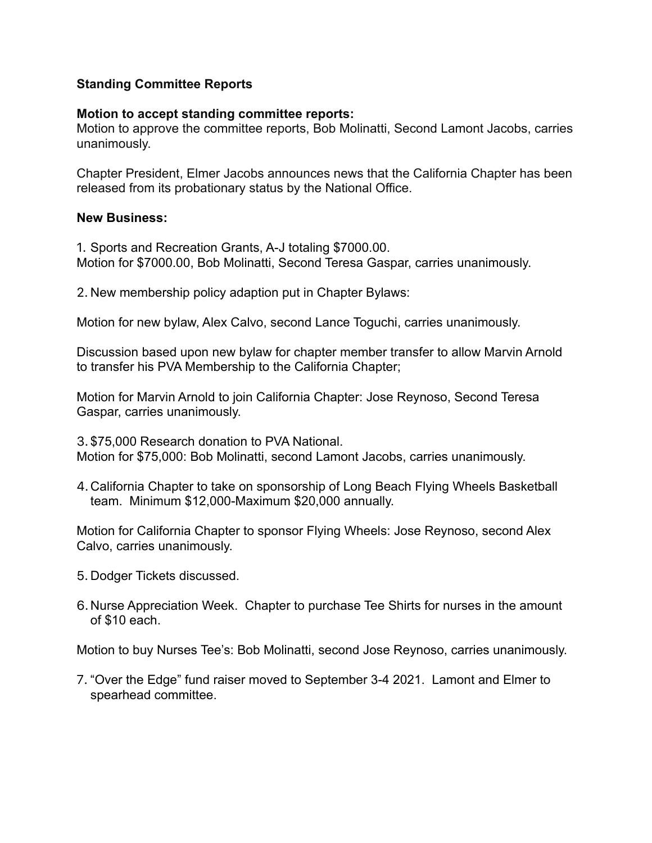# **Standing Committee Reports**

### **Motion to accept standing committee reports:**

Motion to approve the committee reports, Bob Molinatti, Second Lamont Jacobs, carries unanimously.

Chapter President, Elmer Jacobs announces news that the California Chapter has been released from its probationary status by the National Office.

#### **New Business:**

1. Sports and Recreation Grants, A-J totaling \$7000.00. Motion for \$7000.00, Bob Molinatti, Second Teresa Gaspar, carries unanimously.

2. New membership policy adaption put in Chapter Bylaws:

Motion for new bylaw, Alex Calvo, second Lance Toguchi, carries unanimously.

Discussion based upon new bylaw for chapter member transfer to allow Marvin Arnold to transfer his PVA Membership to the California Chapter;

Motion for Marvin Arnold to join California Chapter: Jose Reynoso, Second Teresa Gaspar, carries unanimously.

3. \$75,000 Research donation to PVA National. Motion for \$75,000: Bob Molinatti, second Lamont Jacobs, carries unanimously.

4.California Chapter to take on sponsorship of Long Beach Flying Wheels Basketball team. Minimum \$12,000-Maximum \$20,000 annually.

Motion for California Chapter to sponsor Flying Wheels: Jose Reynoso, second Alex Calvo, carries unanimously.

- 5. Dodger Tickets discussed.
- 6. Nurse Appreciation Week. Chapter to purchase Tee Shirts for nurses in the amount of \$10 each.

Motion to buy Nurses Tee's: Bob Molinatti, second Jose Reynoso, carries unanimously.

7. "Over the Edge" fund raiser moved to September 3-4 2021. Lamont and Elmer to spearhead committee.